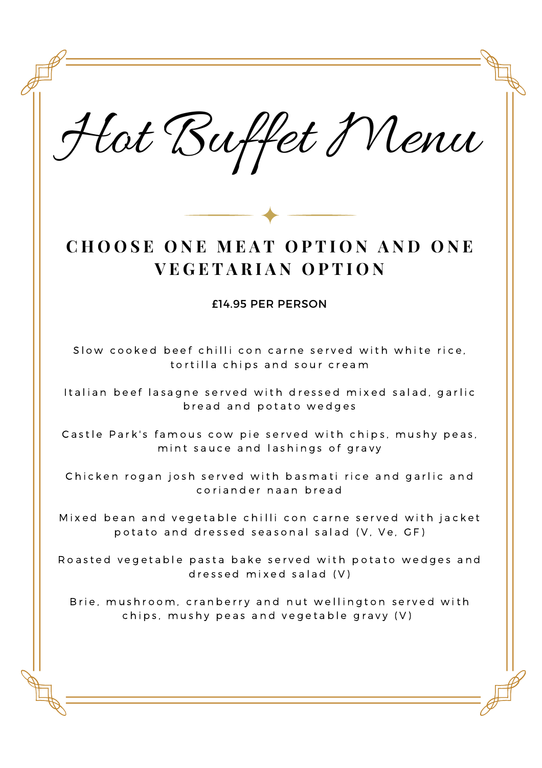Hot Buffet Menu

# **C H O O S E O N E M E A T O P T I O N A N D O N E V E G E T A R I A N O P T I O N**

#### £14.95 PER PERSON

Slow cooked beef chilli con carne served with white rice. tortilla chips and sour cream

Italian beef lasagne served with dressed mixed salad, garlic bread and potato wedges

Castle Park's famous cow pie served with chips, mushy peas, mint sauce and lashings of gravy

Chicken rogan josh served with basmati rice and garlic and coriander naan bread

Mixed bean and vegetable chilli con carne served with jacket potato and dressed seasonal salad (V, Ve, GF)

Roasted vegetable pasta bake served with potato wedges and d r e s s e d mix e d s a l a d  $(V)$ 

Brie, mushroom, cranberry and nut wellington served with chips, mushy peas and vegetable gravy  $(V)$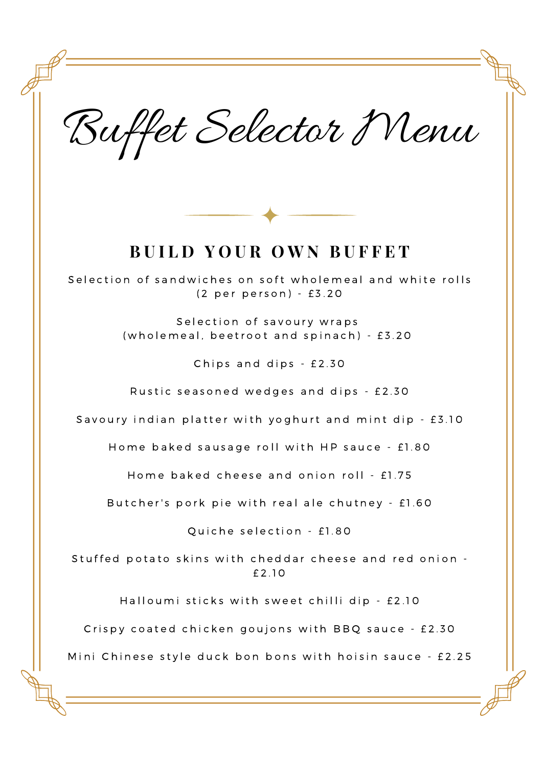Buffet Selector Menu



## **B U I L D Y O U R O W N B U F F E T**

Selection of sandwiches on soft wholemeal and white rolls (2 per person) - £3.20

> Selection of savoury wraps (wholemeal, beetroot and spinach) - £3.20

> > Chips and dips  $-$  £2.30

Rustic seasoned wedges and dips - £2.30

Savoury indian platter with yoghurt and mint dip - £3.10

Home baked sausage roll with HP sauce - £1.80

Home baked cheese and onion roll - £1.75

Butcher's pork pie with real ale chutney - £1.60

Quiche selection - £1.80

Stuffed potato skins with cheddar cheese and red onion -£ 2 . 1 0

Halloumi sticks with sweet chilli dip - £2.10

Crispy coated chicken goujons with BBQ sauce - £2.30

Mini Chinese style duck bon bons with hoisin sauce - £2.25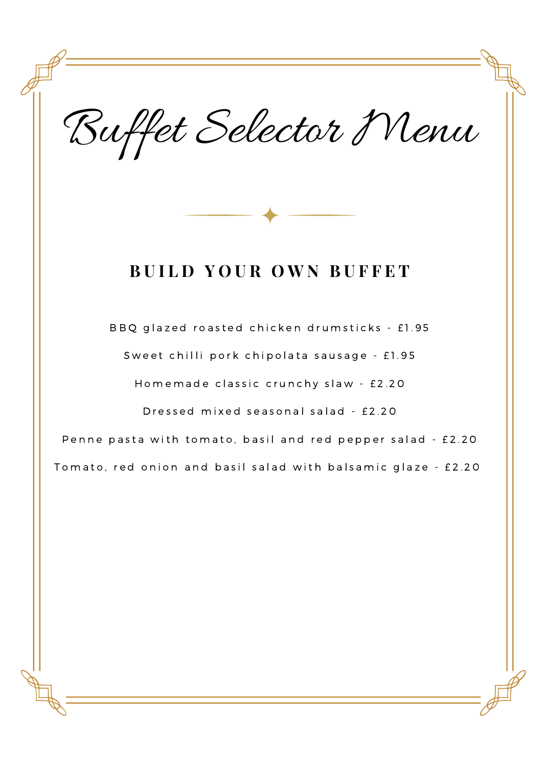Buffet Selector Menu

## **B U I L D Y O U R O W N B U F F E T**

BBQ glazed roasted chicken drumsticks - £1.95 Sweet chilli pork chipolata sausage - £1.95

Homemade classic crunchy slaw - £2.20

Dressed mixed seasonal salad - £2.20

Penne pasta with tomato, basil and red pepper salad - £2.20

Tomato, red onion and basil salad with balsamic glaze - £2.20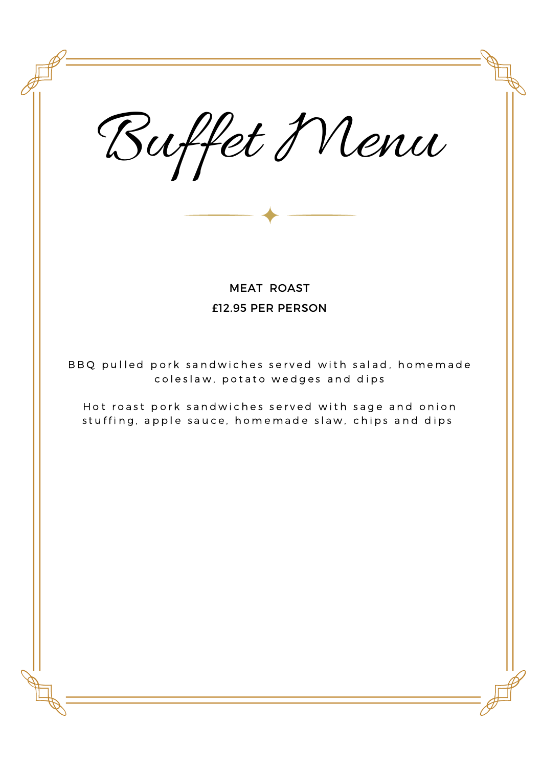Buffet Menu MEAT ROAST £12.95 PER PERSON BBQ pulled pork sandwiches served with salad, homemade coleslaw, potato wedges and dips Hot roast pork sandwiches served with sage and onion stuffing, apple sauce, homemade slaw, chips and dips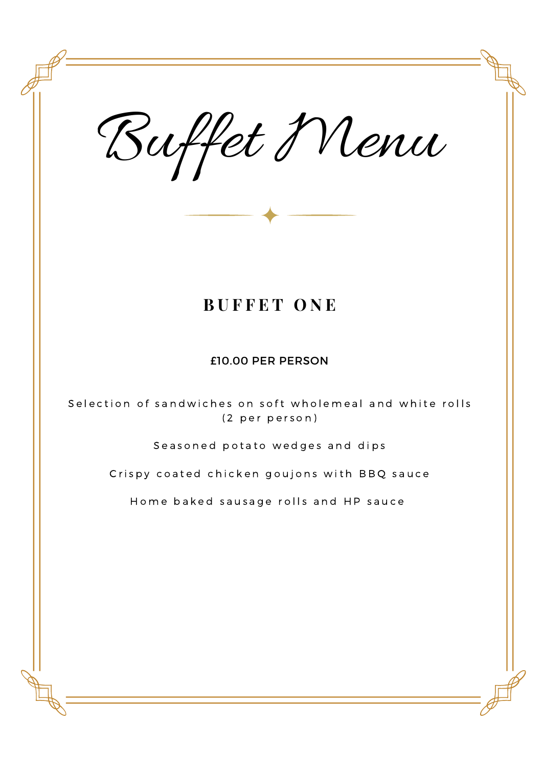Buffet Menu **B U F F E T O N E** £10.00 PER PERSON Selection of sandwiches on soft wholemeal and white rolls (2 per person) Seasoned potato wedges and dips Crispy coated chicken goujons with BBQ sauce Home baked sausage rolls and HP sauce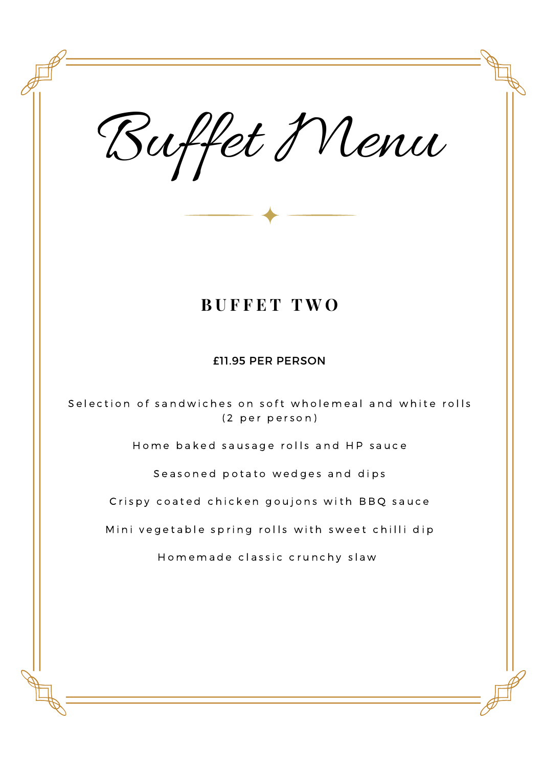Buffet Menu

## **B U F F E T T W O**

£11.95 PER PERSON

Selection of sandwiches on soft wholemeal and white rolls (2 per person)

Home baked sausage rolls and HP sauce

Seasoned potato wedges and dips

Crispy coated chicken goujons with BBQ sauce

Mini vegetable spring rolls with sweet chilli dip

Homemade classic crunchy slaw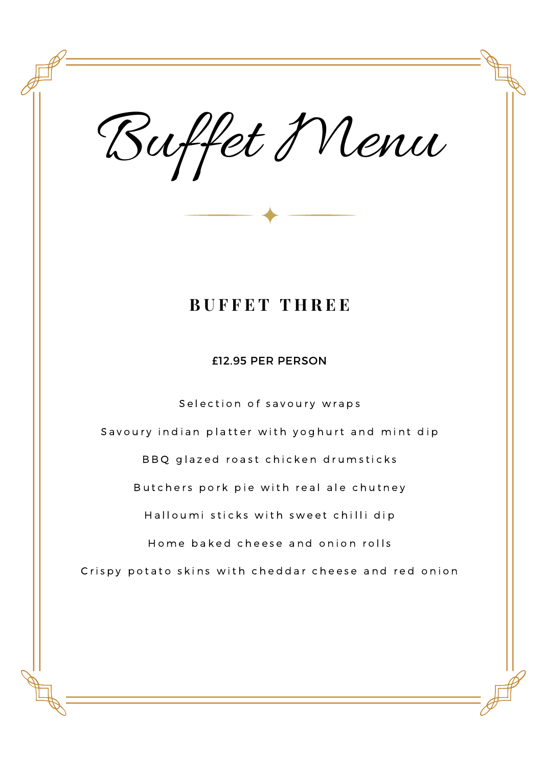Buffet Menu

### **B U F F E T T H R E E**

£12.95 PER PERSON

Selection of savoury wraps Savoury indian platter with yoghurt and mint dip BBQ glazed roast chicken drumsticks Butchers pork pie with real ale chutney Halloumi sticks with sweet chilli dip Home baked cheese and onion rolls Crispy potato skins with cheddar cheese and red onion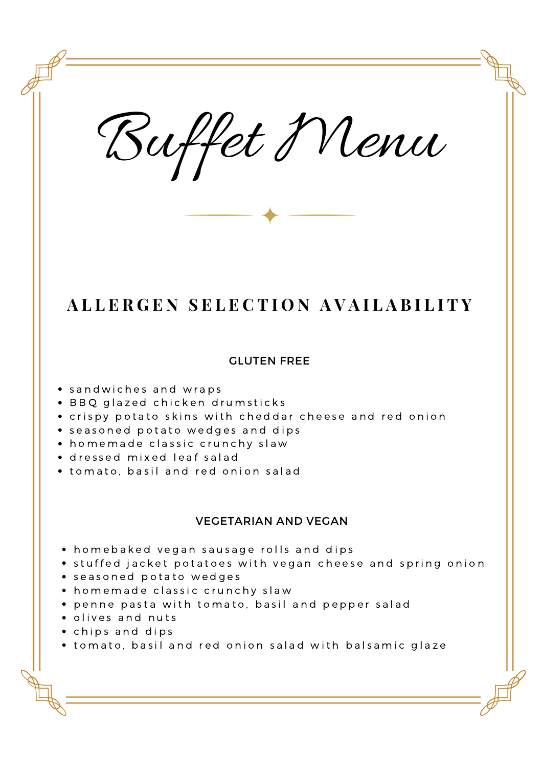Buffet Menu

## ALLERGEN SELECTION AVAILABILITY

#### GLUTEN FREE

- sandwiches and wraps
- · BBQ glazed chicken drumsticks
- crispy potato skins with cheddar cheese and red onion
- seasoned potato wedges and dips
- homemade classic crunchy slaw
- · dressed mixed leaf salad
- tomato, basil and red onion salad

#### VEGETARIAN AND VEGAN

- homebaked vegan sausage rolls and dips
- stuffed jacket potatoes with vegan cheese and spring onion
- seasoned potato wedges
- homemade classic crunchy slaw
- **•** penne pasta with tomato, basil and pepper salad
- olives and nuts
- chips and dips
- tomato, basil and red onion salad with balsamic glaze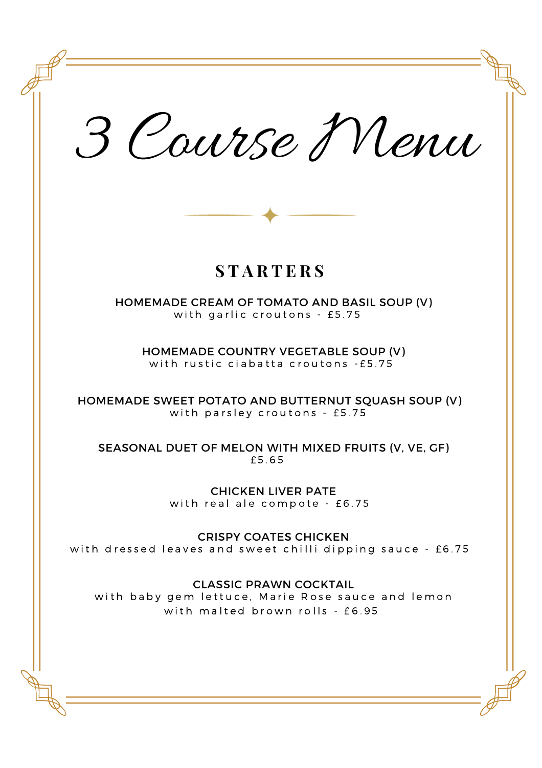3 Course Menu **S T A R T E R S** HOMEMADE CREAM OF TOMATO AND BASIL SOUP (V) with garlic croutons - £5.75 HOMEMADE COUNTRY VEGETABLE SOUP (V) with rustic ciabatta croutons - £5.75 HOMEMADE SWEET POTATO AND BUTTERNUT SQUASH SOUP (V) with parsley croutons - £5.75 SEASONAL DUET OF MELON WITH MIXED FRUITS (V, VE, GF) £ 5 . 6 5 CHICKEN LIVER PATE with real ale compote -  $£6.75$ CRISPY COATES CHICKEN with dressed leaves and sweet chilli dipping sauce - £6.75 CLASSIC PRAWN COCKTAIL with baby gem lettuce, Marie Rose sauce and lemon with malted brown rolls - £6.95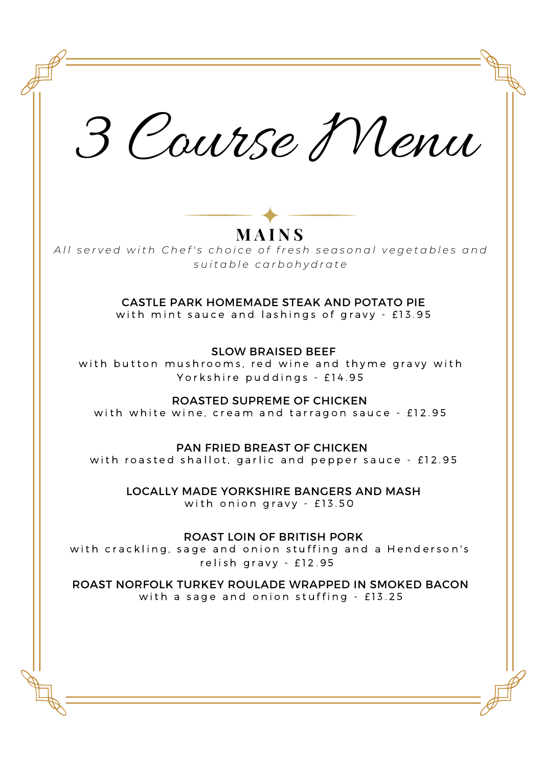3 Course Menu **M A I N S** CASTLE PARK HOMEMADE STEAK AND POTATO PIE with mint sauce and lashings of gravy - £13.95 SLOW BRAISED BEEF with button mushrooms, red wine and thyme gravy with Yorkshire puddings - £14.95 ROASTED SUPREME OF CHICKEN with white wine, cream and tarragon sauce - £12.95 PAN FRIED BREAST OF CHICKEN with roasted shallot, garlic and pepper sauce  $-$  £12.95 LOCALLY MADE YORKSHIRE BANGERS AND MASH with onion gravy  $-$  £13.50 ROAST LOIN OF BRITISH PORK with crackling, sage and onion stuffing and a Henderson's relish gravy - £12.95 ROAST NORFOLK TURKEY ROULADE WRAPPED IN SMOKED BACON with a sage and onion stuffing - £13.25 All served with Chef's choice of fresh seasonal vegetables and *s u i t a b l e c a r b o h y d r a t e*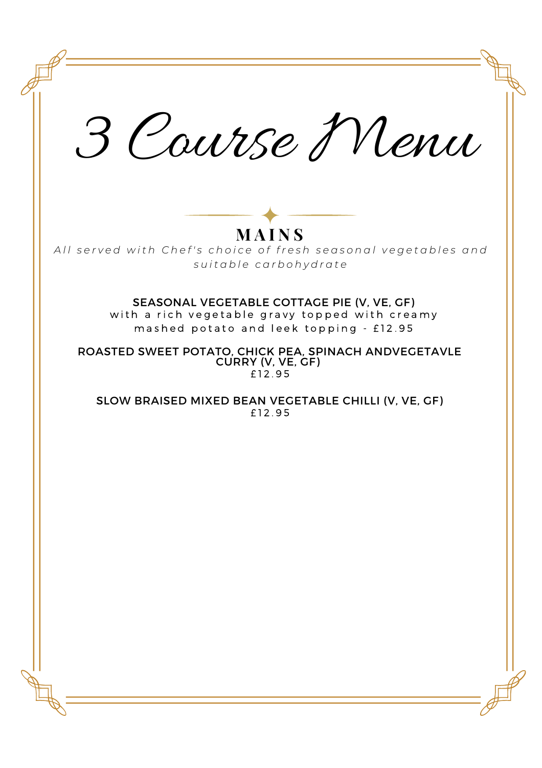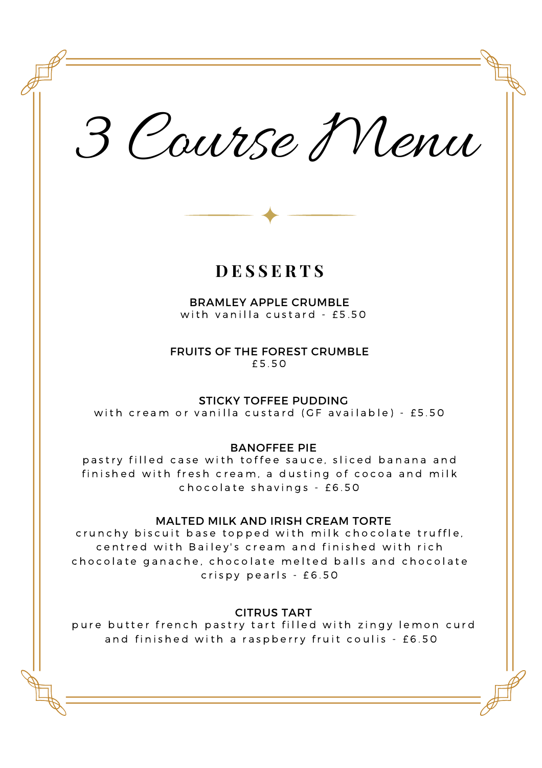3 Course Menu

### **D E S S E R T S**

BRAMLEY APPLE CRUMBLE with vanilla custard - £5.50

FRUITS OF THE FOREST CRUMBLE £ 5 . 5 0

#### STICKY TOFFEE PUDDING

with cream or vanilla custard (GF available) - £5.50

BANOFFEE PIE

pastry filled case with toffee sauce, sliced banana and finished with fresh cream, a dusting of cocoa and milk chocolate shavings - £6.50

#### MALTED MILK AND IRISH CREAM TORTE

crunchy biscuit base topped with milk chocolate truffle, centred with Bailey's cream and finished with rich chocolate ganache, chocolate melted balls and chocolate  $crispy$  pearls -  $£6.50$ 

CITRUS TART

pure butter french pastry tart filled with zingy lemon curd and finished with a raspberry fruit coulis - £6.50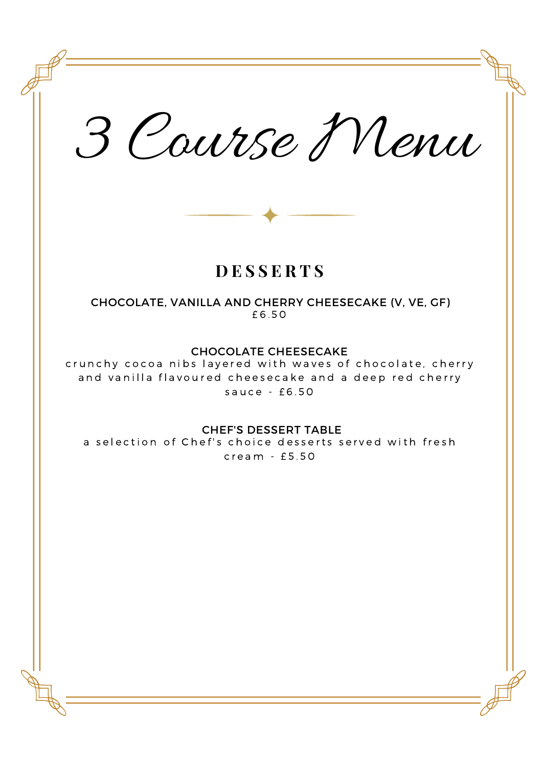3 Course Menu **D E S S E R T S** CHOCOLATE, VANILLA AND CHERRY CHEESECAKE (V, VE, GF) £ 6 . 5 0 CHOCOLATE CHEESECAKE crunchy cocoa nibs layered with waves of chocolate, cherry and vanilla flavoured cheesecake and a deep red cherry sauce  $-$  £6.50 CHEF'S DESSERT TABLE a selection of Chef's choice desserts served with fresh  $c$  r e a m  $-$  £5.50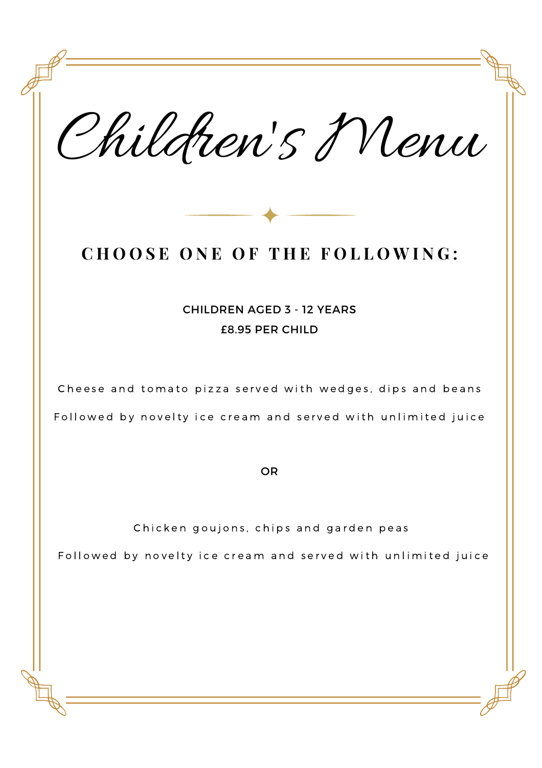Children 's Menu **C H O O S E O N E O F T H E F O L L O W I N G :** CHILDREN AGED 3 - 12 YEARS £8.95 PER CHILD Cheese and tomato pizza served with wedges, dips and beans Followed by novelty ice cream and served with unlimited juice OR Chicken goujons, chips and garden peas Followed by novelty ice cream and served with unlimited juice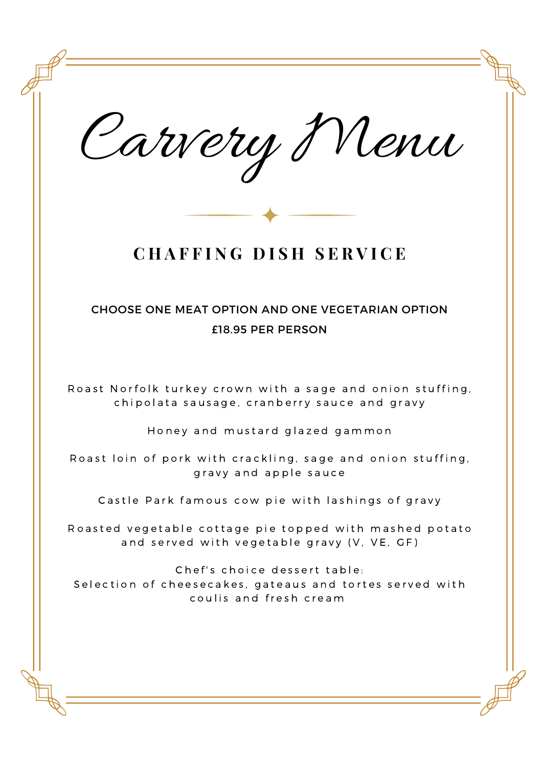Carvery Menu **C H A F F I N G D I S H S E R V I C E** CHOOSE ONE MEAT OPTION AND ONE VEGETARIAN OPTION £18.95 PER PERSON Roast Norfolk turkey crown with a sage and onion stuffing, chipolata sausage, cranberry sauce and gravy Honey and mustard glazed gammon Roast loin of pork with crackling, sage and onion stuffing, gravy and apple sauce Castle Park famous cow pie with lashings of gravy Roasted vegetable cottage pie topped with mashed potato and served with vegetable gravy (V, VE, GF) Chef's choice dessert table: Selection of cheesecakes, gateaus and tortes served with coulis and fresh cream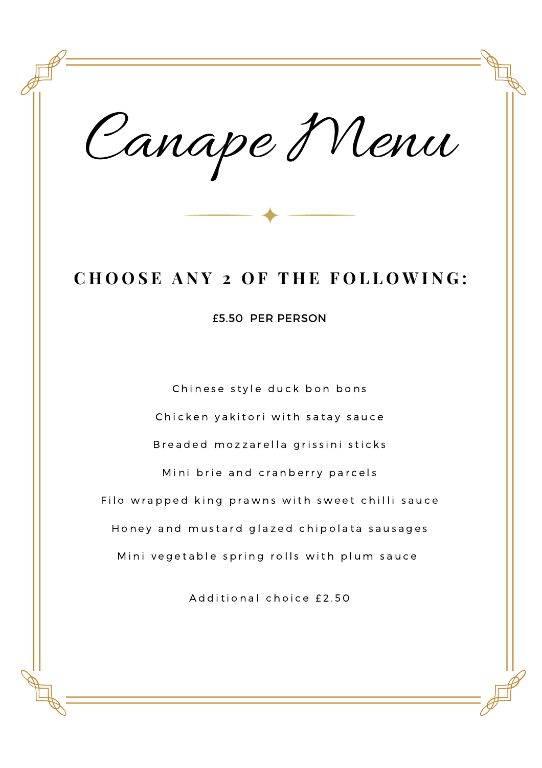Canape Menu

# **C H O O S E A N Y 2 O F T H E F O L L O W I N G :**

£5.50 PER PERSON

Chinese style duck bon bons Chicken yakitori with satay sauce Breaded mozzarella grissini sticks Mini brie and cranberry parcels Filo wrapped king prawns with sweet chilli sauce Honey and mustard glazed chipolata sausages Mini vegetable spring rolls with plum sauce

Additional choice £2.50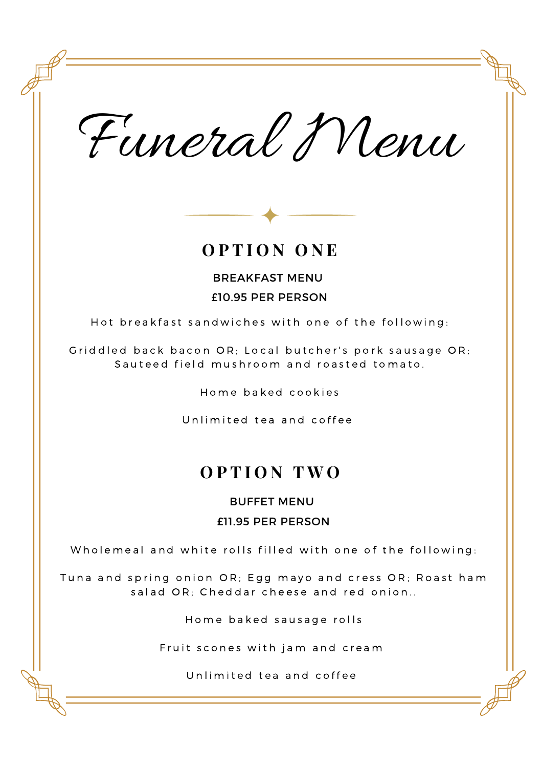Funeral Menu



### **O P T I O N O N E**

BREAKFAST MENU £10.95 PER PERSON

Hot breakfast sandwiches with one of the following:

Griddled back bacon OR; Local butcher's pork sausage OR; Sauteed field mushroom and roasted tomato.

Home baked cookies

Unlimited tea and coffee

## **O P T I O N T W O**

BUFFET MENU

#### £11.95 PER PERSON

Wholemeal and white rolls filled with one of the following:

Tuna and spring onion OR; Egg mayo and cress OR; Roast ham salad OR: Cheddar cheese and red onion..

Home baked sausage rolls

Fruit scones with jam and cream

Unlimited tea and coffee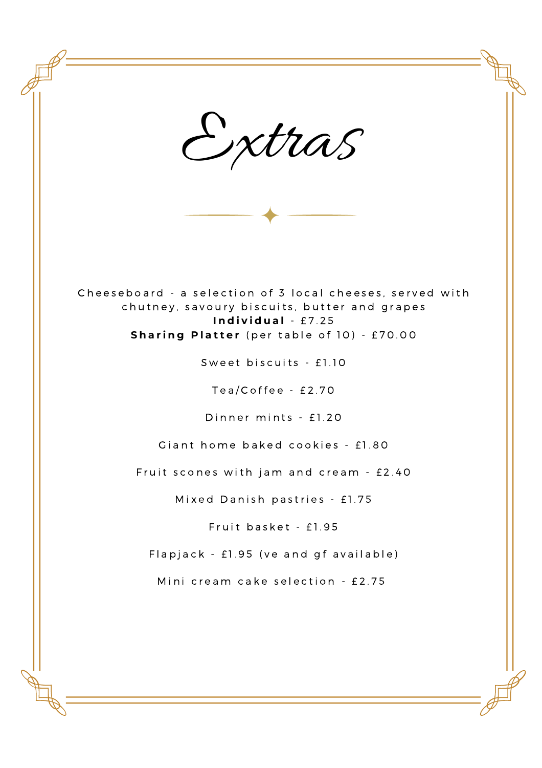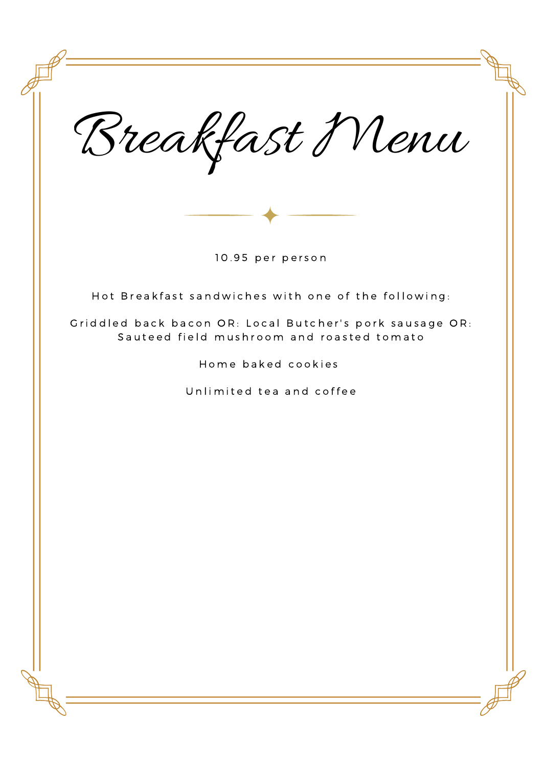Breakfast Menu Hot Breakfast sandwiches with one of the following: Griddled back bacon OR: Local Butcher's pork sausage OR: Sauteed field mushroom and roasted tomato Home baked cookies Unlimited tea and coffee 10.95 per person